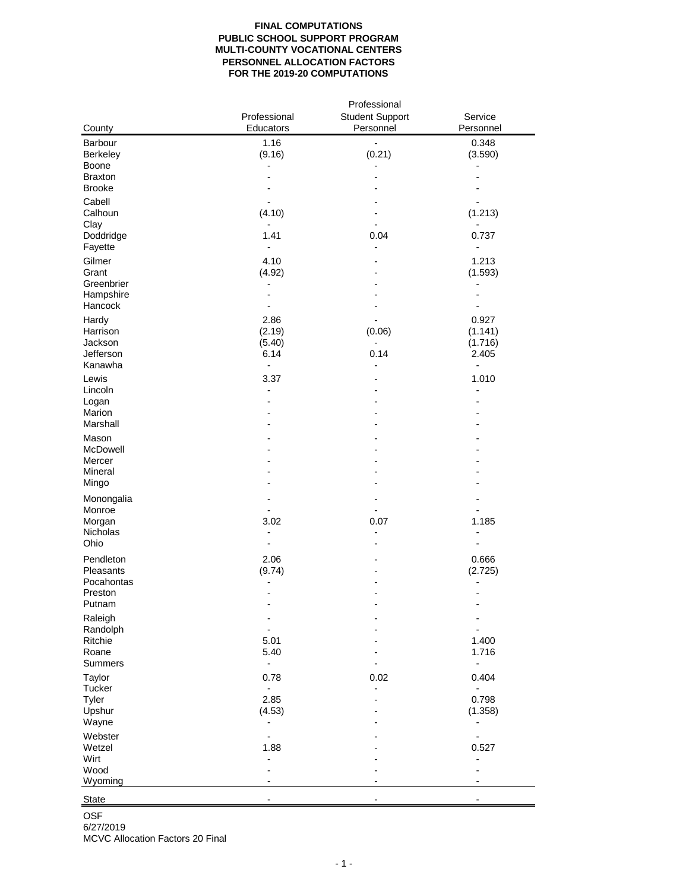# **FINAL COMPUTATIONS PUBLIC SCHOOL SUPPORT PROGRAM MULTI-COUNTY VOCATIONAL CENTERS PERSONNEL ALLOCATION FACTORS FOR THE 2019-20 COMPUTATIONS**

|                            |                  | Professional           |                  |
|----------------------------|------------------|------------------------|------------------|
|                            | Professional     | <b>Student Support</b> | Service          |
| County                     | <b>Educators</b> | Personnel              | Personnel        |
| Barbour<br><b>Berkeley</b> | 1.16<br>(9.16)   | (0.21)                 | 0.348<br>(3.590) |
| <b>Boone</b>               |                  |                        |                  |
| <b>Braxton</b>             |                  |                        |                  |
| <b>Brooke</b>              |                  |                        |                  |
| Cabell                     |                  |                        |                  |
| Calhoun                    | (4.10)           |                        | (1.213)          |
| Clay                       |                  |                        |                  |
| Doddridge                  | 1.41             | 0.04                   | 0.737            |
| Fayette<br>Gilmer          |                  |                        | 1.213            |
| Grant                      | 4.10<br>(4.92)   |                        | (1.593)          |
| Greenbrier                 |                  |                        |                  |
| Hampshire                  |                  |                        |                  |
| Hancock                    |                  |                        |                  |
| Hardy                      | 2.86             |                        | 0.927            |
| Harrison                   | (2.19)           | (0.06)                 | (1.141)          |
| Jackson<br>Jefferson       | (5.40)<br>6.14   | 0.14                   | (1.716)          |
| Kanawha                    |                  |                        | 2.405            |
| Lewis                      | 3.37             |                        | 1.010            |
| Lincoln                    |                  |                        |                  |
| Logan                      |                  |                        |                  |
| Marion                     |                  |                        |                  |
| Marshall                   |                  |                        |                  |
| Mason                      |                  |                        |                  |
| McDowell                   |                  |                        |                  |
| Mercer<br>Mineral          |                  |                        |                  |
| Mingo                      |                  |                        |                  |
|                            |                  |                        |                  |
| Monongalia<br>Monroe       |                  |                        |                  |
| Morgan                     | 3.02             | 0.07                   | 1.185            |
| Nicholas                   |                  |                        |                  |
| Ohio                       |                  |                        |                  |
| Pendleton                  | 2.06             |                        | 0.666            |
| Pleasants                  | (9.74)           |                        | (2.725)          |
| Pocahontas                 |                  |                        |                  |
| Preston<br>Putnam          |                  |                        |                  |
| Raleigh                    |                  |                        |                  |
| Randolph                   |                  |                        |                  |
| Ritchie                    | 5.01             |                        | 1.400            |
| Roane                      | 5.40             |                        | 1.716            |
| <b>Summers</b>             |                  |                        |                  |
| <b>Taylor</b>              | 0.78             | 0.02                   | 0.404            |
| <b>Tucker</b>              |                  |                        |                  |
| <b>Tyler</b><br>Upshur     | 2.85<br>(4.53)   |                        | 0.798<br>(1.358) |
| Wayne                      |                  |                        |                  |
| Webster                    |                  |                        |                  |
| Wetzel                     | 1.88             |                        | 0.527            |
| Wirt                       |                  |                        |                  |
| Wood                       |                  |                        |                  |
| Wyoming                    |                  |                        |                  |

State - - -

OSF 6/27/2019 MCVC Allocation Factors 20 Final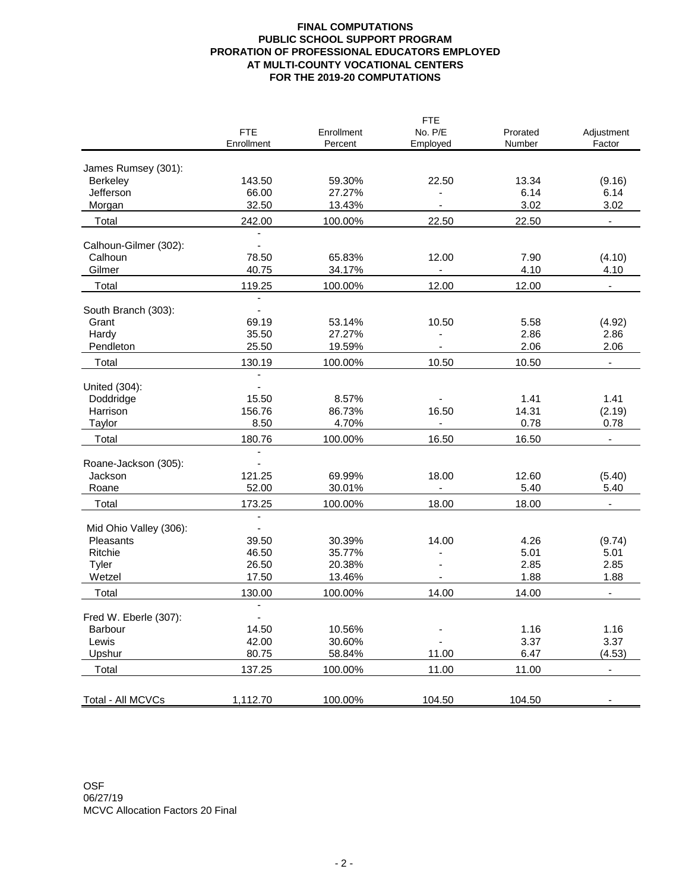# **FINAL COMPUTATIONS PUBLIC SCHOOL SUPPORT PROGRAM PRORATION OF PROFESSIONAL EDUCATORS EMPLOYED AT MULTI-COUNTY VOCATIONAL CENTERS FOR THE 2019-20 COMPUTATIONS**

|                                  |                |                  | <b>FTE</b>               |              |                          |
|----------------------------------|----------------|------------------|--------------------------|--------------|--------------------------|
|                                  | <b>FTE</b>     | Enrollment       | No. P/E                  | Prorated     | Adjustment               |
|                                  | Enrollment     | Percent          | Employed                 | Number       | Factor                   |
| James Rumsey (301):              |                |                  |                          |              |                          |
| <b>Berkeley</b>                  | 143.50         | 59.30%           | 22.50                    | 13.34        | (9.16)                   |
| Jefferson                        | 66.00          | 27.27%           |                          | 6.14         | 6.14                     |
| Morgan                           | 32.50          | 13.43%           |                          | 3.02         | 3.02                     |
| Total                            | 242.00         | 100.00%          | 22.50                    | 22.50        | $\overline{\phantom{a}}$ |
|                                  |                |                  |                          |              |                          |
| Calhoun-Gilmer (302):<br>Calhoun | 78.50          | 65.83%           | 12.00                    | 7.90         | (4.10)                   |
| Gilmer                           | 40.75          | 34.17%           | $\overline{\phantom{a}}$ | 4.10         | 4.10                     |
|                                  | 119.25         |                  | 12.00                    |              |                          |
| Total                            |                | 100.00%          |                          | 12.00        |                          |
| South Branch (303):              |                |                  |                          |              |                          |
| Grant                            | 69.19          | 53.14%           | 10.50                    | 5.58         | (4.92)                   |
| Hardy                            | 35.50          | 27.27%           |                          | 2.86         | 2.86                     |
| Pendleton                        | 25.50          | 19.59%           |                          | 2.06         | 2.06                     |
| Total                            | 130.19         | 100.00%          | 10.50                    | 10.50        | $\overline{\phantom{a}}$ |
|                                  |                |                  |                          |              |                          |
| United (304):                    |                |                  |                          |              |                          |
| Doddridge                        | 15.50          | 8.57%            |                          | 1.41         | 1.41                     |
| Harrison                         | 156.76         | 86.73%           | 16.50                    | 14.31        | (2.19)                   |
| Taylor                           | 8.50           | 4.70%            |                          | 0.78         | 0.78                     |
| Total                            | 180.76         | 100.00%          | 16.50                    | 16.50        | $\overline{\phantom{a}}$ |
| Roane-Jackson (305):             |                |                  |                          |              |                          |
| Jackson                          | 121.25         | 69.99%           | 18.00                    | 12.60        | (5.40)                   |
| Roane                            | 52.00          | 30.01%           |                          | 5.40         | 5.40                     |
|                                  |                | 100.00%          |                          |              |                          |
| Total                            | 173.25         |                  | 18.00                    | 18.00        |                          |
| Mid Ohio Valley (306):           |                |                  |                          |              |                          |
| Pleasants                        | 39.50          | 30.39%           | 14.00                    | 4.26         | (9.74)                   |
| Ritchie                          | 46.50          | 35.77%           |                          | 5.01         | 5.01                     |
| <b>Tyler</b>                     | 26.50          | 20.38%           |                          | 2.85         | 2.85                     |
| Wetzel                           | 17.50          | 13.46%           |                          | 1.88         | 1.88                     |
| Total                            | 130.00         | 100.00%          | 14.00                    | 14.00        | $\overline{\phantom{a}}$ |
|                                  |                |                  |                          |              |                          |
| Fred W. Eberle (307):            |                |                  |                          |              |                          |
| <b>Barbour</b><br>Lewis          | 14.50<br>42.00 | 10.56%<br>30.60% |                          | 1.16<br>3.37 | 1.16<br>3.37             |
| Upshur                           | 80.75          | 58.84%           | 11.00                    | 6.47         | (4.53)                   |
|                                  |                |                  |                          |              |                          |
| Total                            | 137.25         | 100.00%          | 11.00                    | 11.00        |                          |
|                                  |                |                  |                          |              |                          |
| Total - All MCVCs                | 1,112.70       | 100.00%          | 104.50                   | 104.50       |                          |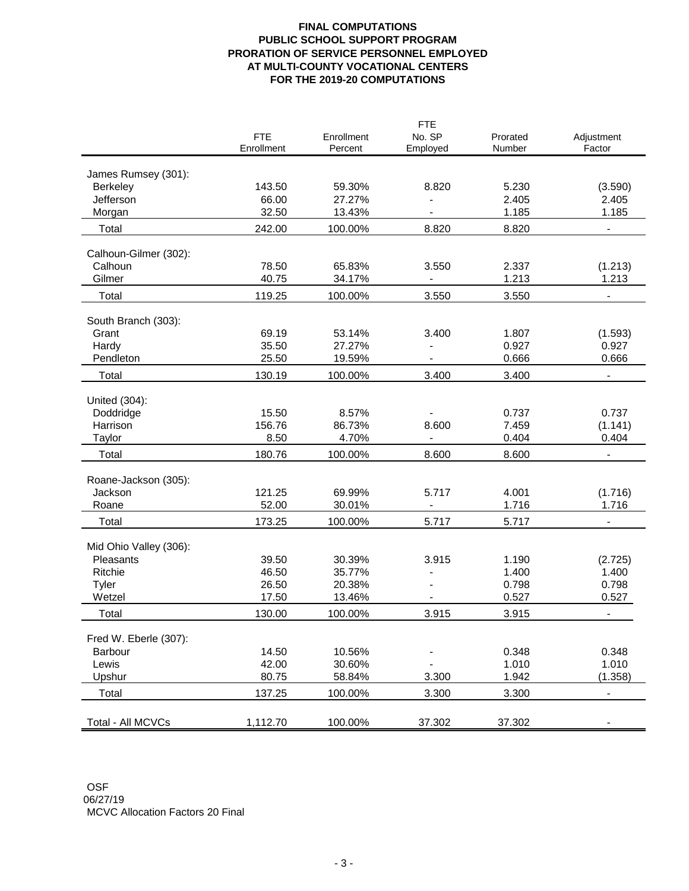# **FINAL COMPUTATIONS PUBLIC SCHOOL SUPPORT PROGRAM PRORATION OF SERVICE PERSONNEL EMPLOYED AT MULTI-COUNTY VOCATIONAL CENTERS FOR THE 2019-20 COMPUTATIONS**

|                              |                |                  | <b>FTE</b>                        |                |                              |
|------------------------------|----------------|------------------|-----------------------------------|----------------|------------------------------|
|                              | <b>FTE</b>     | Enrollment       | No. SP                            | Prorated       | Adjustment                   |
|                              | Enrollment     | Percent          | Employed                          | Number         | Factor                       |
|                              |                |                  |                                   |                |                              |
| James Rumsey (301):          | 143.50         | 59.30%           | 8.820                             | 5.230          |                              |
| <b>Berkeley</b><br>Jefferson | 66.00          | 27.27%           |                                   | 2.405          | (3.590)<br>2.405             |
|                              | 32.50          |                  |                                   | 1.185          | 1.185                        |
| Morgan                       |                | 13.43%           |                                   |                |                              |
| Total                        | 242.00         | 100.00%          | 8.820                             | 8.820          | $\blacksquare$               |
| Calhoun-Gilmer (302):        |                |                  |                                   |                |                              |
| Calhoun                      | 78.50          | 65.83%           | 3.550                             | 2.337          | (1.213)                      |
| Gilmer                       | 40.75          | 34.17%           |                                   | 1.213          | 1.213                        |
| Total                        | 119.25         | 100.00%          | 3.550                             | 3.550          |                              |
|                              |                |                  |                                   |                |                              |
| South Branch (303):          |                |                  |                                   |                |                              |
| Grant                        | 69.19          | 53.14%           | 3.400                             | 1.807          | (1.593)                      |
| Hardy                        | 35.50          | 27.27%           |                                   | 0.927          | 0.927                        |
| Pendleton                    | 25.50          | 19.59%           |                                   | 0.666          | 0.666                        |
| Total                        | 130.19         | 100.00%          | 3.400                             | 3.400          | $\overline{\phantom{a}}$     |
|                              |                |                  |                                   |                |                              |
| United (304):                |                |                  |                                   |                |                              |
| Doddridge                    | 15.50          | 8.57%            |                                   | 0.737          | 0.737                        |
| Harrison                     | 156.76<br>8.50 | 86.73%<br>4.70%  | 8.600<br>$\overline{\phantom{a}}$ | 7.459<br>0.404 | (1.141)<br>0.404             |
| Taylor                       |                |                  |                                   |                |                              |
| Total                        | 180.76         | 100.00%          | 8.600                             | 8.600          | $\overline{\phantom{a}}$     |
| Roane-Jackson (305):         |                |                  |                                   |                |                              |
| Jackson                      | 121.25         | 69.99%           | 5.717                             | 4.001          | (1.716)                      |
| Roane                        | 52.00          | 30.01%           | $\overline{\phantom{a}}$          | 1.716          | 1.716                        |
| Total                        | 173.25         | 100.00%          | 5.717                             | 5.717          | $\overline{\phantom{a}}$     |
|                              |                |                  |                                   |                |                              |
| Mid Ohio Valley (306):       |                |                  |                                   |                |                              |
| Pleasants                    | 39.50          | 30.39%           | 3.915                             | 1.190          | (2.725)                      |
| Ritchie                      | 46.50          | 35.77%           |                                   | 1.400          | 1.400                        |
| <b>Tyler</b>                 | 26.50          | 20.38%           |                                   | 0.798          | 0.798                        |
| Wetzel                       | 17.50          | 13.46%           |                                   | 0.527          | 0.527                        |
| Total                        | 130.00         | 100.00%          | 3.915                             | 3.915          | $\blacksquare$               |
|                              |                |                  |                                   |                |                              |
| Fred W. Eberle (307):        | 14.50          | 10.56%           |                                   | 0.348          | 0.348                        |
| <b>Barbour</b>               | 42.00          |                  |                                   | 1.010          |                              |
| Lewis<br>Upshur              | 80.75          | 30.60%<br>58.84% | 3.300                             | 1.942          | 1.010<br>(1.358)             |
|                              |                | 100.00%          | 3.300                             | 3.300          |                              |
| Total                        | 137.25         |                  |                                   |                | $\qquad \qquad \blacksquare$ |
| Total - All MCVCs            | 1,112.70       | 100.00%          | 37.302                            | 37.302         |                              |
|                              |                |                  |                                   |                |                              |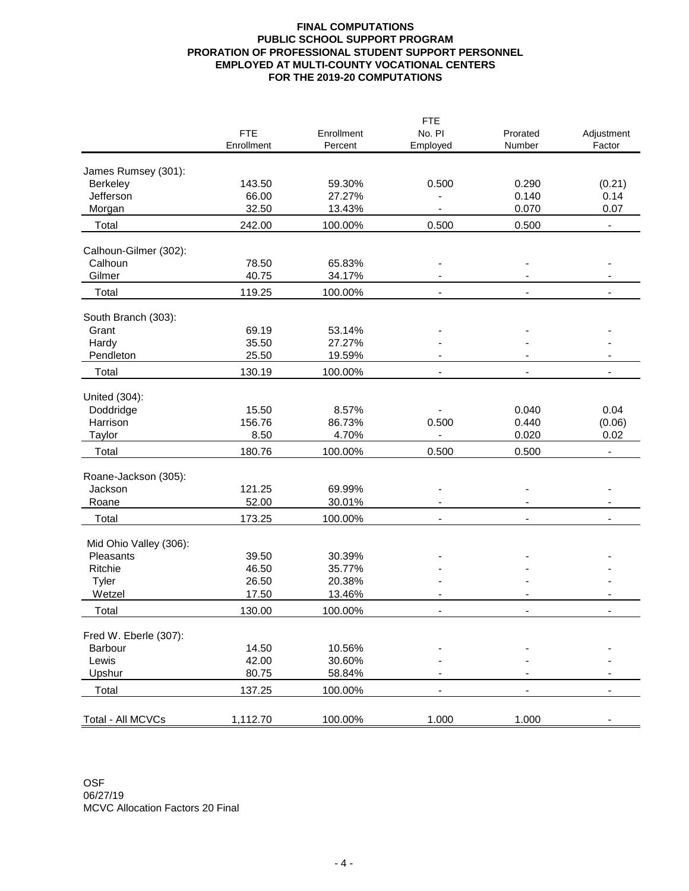#### **FINAL COMPUTATIONS PUBLIC SCHOOL SUPPORT PROGRAM PRORATION OF PROFESSIONAL STUDENT SUPPORT PERSONNEL EMPLOYED AT MULTI-COUNTY VOCATIONAL CENTERS FOR THE 2019-20 COMPUTATIONS**

|                              |            |                  | <b>FTE</b> |          |                          |
|------------------------------|------------|------------------|------------|----------|--------------------------|
|                              | <b>FTE</b> | Enrollment       | No. PI     | Prorated | Adjustment               |
|                              | Enrollment | Percent          | Employed   | Number   | Factor                   |
|                              |            |                  |            |          |                          |
| James Rumsey (301):          | 143.50     | 59.30%           |            | 0.290    |                          |
| <b>Berkeley</b><br>Jefferson | 66.00      | 27.27%           | 0.500      | 0.140    | (0.21)<br>0.14           |
|                              | 32.50      | 13.43%           |            | 0.070    | 0.07                     |
| Morgan                       |            |                  |            |          |                          |
| Total                        | 242.00     | 100.00%          | 0.500      | 0.500    | $\blacksquare$           |
| Calhoun-Gilmer (302):        |            |                  |            |          |                          |
| Calhoun                      | 78.50      | 65.83%           |            |          |                          |
| Gilmer                       | 40.75      | 34.17%           |            |          |                          |
| Total                        | 119.25     | 100.00%          |            |          |                          |
|                              |            |                  |            |          |                          |
| South Branch (303):<br>Grant | 69.19      |                  |            |          |                          |
|                              | 35.50      | 53.14%<br>27.27% |            |          |                          |
| Hardy<br>Pendleton           | 25.50      | 19.59%           |            |          |                          |
|                              |            |                  |            |          |                          |
| Total                        | 130.19     | 100.00%          |            |          |                          |
| United (304):                |            |                  |            |          |                          |
| Doddridge                    | 15.50      | 8.57%            |            | 0.040    | 0.04                     |
| Harrison                     | 156.76     | 86.73%           | 0.500      | 0.440    | (0.06)                   |
| Taylor                       | 8.50       | 4.70%            |            | 0.020    | 0.02                     |
| Total                        | 180.76     | 100.00%          | 0.500      | 0.500    | $\overline{\phantom{a}}$ |
| Roane-Jackson (305):         |            |                  |            |          |                          |
| Jackson                      | 121.25     | 69.99%           |            |          |                          |
| Roane                        | 52.00      | 30.01%           |            |          |                          |
| Total                        | 173.25     | 100.00%          |            |          |                          |
|                              |            |                  |            |          |                          |
| Mid Ohio Valley (306):       |            |                  |            |          |                          |
| Pleasants                    | 39.50      | 30.39%           |            |          |                          |
| <b>Ritchie</b>               | 46.50      | 35.77%           |            |          |                          |
| <b>Tyler</b>                 | 26.50      | 20.38%           |            |          |                          |
| Wetzel                       | 17.50      | 13.46%           |            |          |                          |
| Total                        | 130.00     | 100.00%          |            |          |                          |
| Fred W. Eberle (307):        |            |                  |            |          |                          |
| <b>Barbour</b>               | 14.50      | 10.56%           |            |          |                          |
| Lewis                        | 42.00      | 30.60%           |            |          |                          |
| Upshur                       | 80.75      | 58.84%           |            |          |                          |
| Total                        | 137.25     | 100.00%          | -          |          |                          |
|                              |            |                  |            |          |                          |
| Total - All MCVCs            | 1,112.70   | 100.00%          | 1.000      | 1.000    |                          |

OSF 06/27/19 MCVC Allocation Factors 20 Final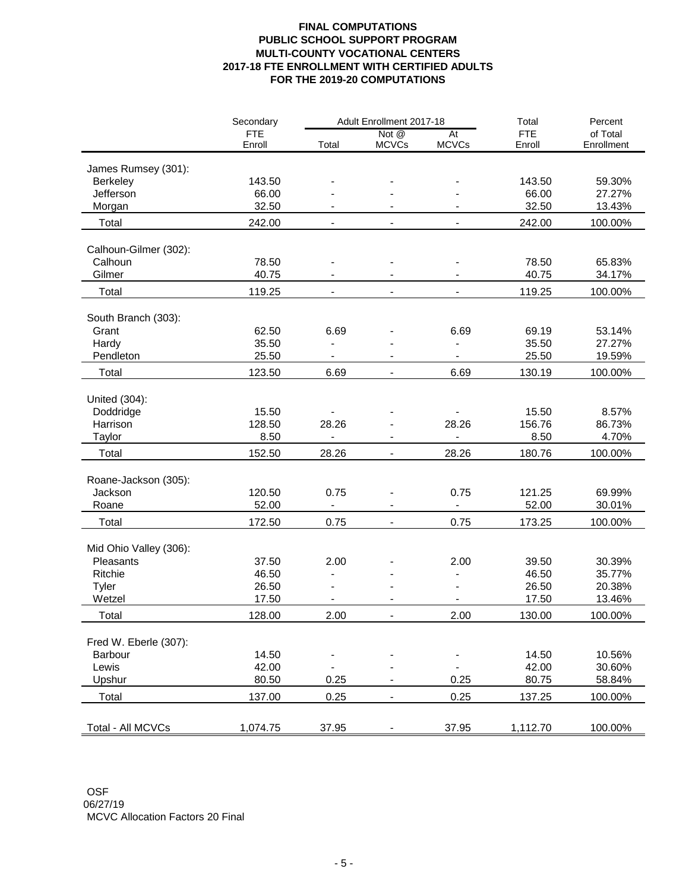# **FINAL COMPUTATIONS PUBLIC SCHOOL SUPPORT PROGRAM MULTI-COUNTY VOCATIONAL CENTERS 2017-18 FTE ENROLLMENT WITH CERTIFIED ADULTS FOR THE 2019-20 COMPUTATIONS**

| <b>FTE</b><br><b>FTE</b><br>Not @<br><b>At</b><br>of Total<br><b>MCVCs</b><br>Enroll<br><b>MCVCs</b><br>Total<br>Enroll<br>Enrollment<br>James Rumsey (301):<br>143.50<br>143.50<br><b>Berkeley</b><br>59.30%<br>66.00<br>66.00<br>Jefferson<br>27.27%<br>32.50<br>32.50<br>13.43%<br>Morgan<br>$\overline{\phantom{a}}$<br>242.00<br>242.00<br>Total<br>100.00%<br>$\blacksquare$<br>Calhoun-Gilmer (302):<br>78.50<br>78.50<br>65.83%<br>Calhoun<br>Gilmer<br>40.75<br>40.75<br>34.17%<br>119.25<br>Total<br>119.25<br>100.00%<br>$\overline{\phantom{a}}$<br>South Branch (303):<br>62.50<br>6.69<br>6.69<br>69.19<br>Grant<br>53.14%<br>35.50<br>35.50<br>27.27%<br>Hardy<br>Pendleton<br>25.50<br>25.50<br>19.59%<br>$\overline{\phantom{a}}$<br>$\overline{\phantom{a}}$<br>$\overline{\phantom{a}}$ |       | Secondary | Adult Enrollment 2017-18 |  |      | Total  | Percent |
|------------------------------------------------------------------------------------------------------------------------------------------------------------------------------------------------------------------------------------------------------------------------------------------------------------------------------------------------------------------------------------------------------------------------------------------------------------------------------------------------------------------------------------------------------------------------------------------------------------------------------------------------------------------------------------------------------------------------------------------------------------------------------------------------------------|-------|-----------|--------------------------|--|------|--------|---------|
|                                                                                                                                                                                                                                                                                                                                                                                                                                                                                                                                                                                                                                                                                                                                                                                                            |       |           |                          |  |      |        |         |
|                                                                                                                                                                                                                                                                                                                                                                                                                                                                                                                                                                                                                                                                                                                                                                                                            |       |           |                          |  |      |        |         |
|                                                                                                                                                                                                                                                                                                                                                                                                                                                                                                                                                                                                                                                                                                                                                                                                            |       |           |                          |  |      |        |         |
|                                                                                                                                                                                                                                                                                                                                                                                                                                                                                                                                                                                                                                                                                                                                                                                                            |       |           |                          |  |      |        |         |
|                                                                                                                                                                                                                                                                                                                                                                                                                                                                                                                                                                                                                                                                                                                                                                                                            |       |           |                          |  |      |        |         |
|                                                                                                                                                                                                                                                                                                                                                                                                                                                                                                                                                                                                                                                                                                                                                                                                            |       |           |                          |  |      |        |         |
|                                                                                                                                                                                                                                                                                                                                                                                                                                                                                                                                                                                                                                                                                                                                                                                                            |       |           |                          |  |      |        |         |
|                                                                                                                                                                                                                                                                                                                                                                                                                                                                                                                                                                                                                                                                                                                                                                                                            |       |           |                          |  |      |        |         |
|                                                                                                                                                                                                                                                                                                                                                                                                                                                                                                                                                                                                                                                                                                                                                                                                            |       |           |                          |  |      |        |         |
|                                                                                                                                                                                                                                                                                                                                                                                                                                                                                                                                                                                                                                                                                                                                                                                                            |       |           |                          |  |      |        |         |
|                                                                                                                                                                                                                                                                                                                                                                                                                                                                                                                                                                                                                                                                                                                                                                                                            |       |           |                          |  |      |        |         |
|                                                                                                                                                                                                                                                                                                                                                                                                                                                                                                                                                                                                                                                                                                                                                                                                            |       |           |                          |  |      |        |         |
|                                                                                                                                                                                                                                                                                                                                                                                                                                                                                                                                                                                                                                                                                                                                                                                                            |       |           |                          |  |      |        |         |
|                                                                                                                                                                                                                                                                                                                                                                                                                                                                                                                                                                                                                                                                                                                                                                                                            |       |           |                          |  |      |        |         |
|                                                                                                                                                                                                                                                                                                                                                                                                                                                                                                                                                                                                                                                                                                                                                                                                            |       |           |                          |  |      |        |         |
|                                                                                                                                                                                                                                                                                                                                                                                                                                                                                                                                                                                                                                                                                                                                                                                                            |       |           |                          |  |      |        |         |
|                                                                                                                                                                                                                                                                                                                                                                                                                                                                                                                                                                                                                                                                                                                                                                                                            | Total | 123.50    | 6.69                     |  | 6.69 | 130.19 | 100.00% |
|                                                                                                                                                                                                                                                                                                                                                                                                                                                                                                                                                                                                                                                                                                                                                                                                            |       |           |                          |  |      |        |         |
| United (304):                                                                                                                                                                                                                                                                                                                                                                                                                                                                                                                                                                                                                                                                                                                                                                                              |       |           |                          |  |      |        |         |
| 15.50<br>15.50<br>Doddridge<br>8.57%                                                                                                                                                                                                                                                                                                                                                                                                                                                                                                                                                                                                                                                                                                                                                                       |       |           |                          |  |      |        |         |
| Harrison<br>128.50<br>28.26<br>156.76<br>86.73%<br>28.26                                                                                                                                                                                                                                                                                                                                                                                                                                                                                                                                                                                                                                                                                                                                                   |       |           |                          |  |      |        |         |
| 4.70%<br>8.50<br>8.50<br>Taylor<br>$\overline{\phantom{a}}$<br>$\overline{\phantom{a}}$                                                                                                                                                                                                                                                                                                                                                                                                                                                                                                                                                                                                                                                                                                                    |       |           |                          |  |      |        |         |
| 28.26<br>Total<br>152.50<br>28.26<br>180.76<br>100.00%<br>$\overline{\phantom{a}}$                                                                                                                                                                                                                                                                                                                                                                                                                                                                                                                                                                                                                                                                                                                         |       |           |                          |  |      |        |         |
|                                                                                                                                                                                                                                                                                                                                                                                                                                                                                                                                                                                                                                                                                                                                                                                                            |       |           |                          |  |      |        |         |
| Roane-Jackson (305):<br>Jackson<br>120.50<br>0.75<br>121.25<br>69.99%<br>0.75<br>$\overline{a}$                                                                                                                                                                                                                                                                                                                                                                                                                                                                                                                                                                                                                                                                                                            |       |           |                          |  |      |        |         |
| 52.00<br>52.00<br>30.01%<br>Roane<br>$\overline{\phantom{a}}$<br>$\overline{\phantom{a}}$<br>$\overline{\phantom{a}}$                                                                                                                                                                                                                                                                                                                                                                                                                                                                                                                                                                                                                                                                                      |       |           |                          |  |      |        |         |
|                                                                                                                                                                                                                                                                                                                                                                                                                                                                                                                                                                                                                                                                                                                                                                                                            |       |           |                          |  |      |        |         |
| 172.50<br>0.75<br>0.75<br>173.25<br>Total<br>100.00%<br>$\overline{\phantom{a}}$                                                                                                                                                                                                                                                                                                                                                                                                                                                                                                                                                                                                                                                                                                                           |       |           |                          |  |      |        |         |
| Mid Ohio Valley (306):                                                                                                                                                                                                                                                                                                                                                                                                                                                                                                                                                                                                                                                                                                                                                                                     |       |           |                          |  |      |        |         |
| Pleasants<br>37.50<br>2.00<br>2.00<br>39.50<br>30.39%                                                                                                                                                                                                                                                                                                                                                                                                                                                                                                                                                                                                                                                                                                                                                      |       |           |                          |  |      |        |         |
| Ritchie<br>46.50<br>46.50<br>35.77%                                                                                                                                                                                                                                                                                                                                                                                                                                                                                                                                                                                                                                                                                                                                                                        |       |           |                          |  |      |        |         |
| <b>Tyler</b><br>26.50<br>26.50<br>20.38%                                                                                                                                                                                                                                                                                                                                                                                                                                                                                                                                                                                                                                                                                                                                                                   |       |           |                          |  |      |        |         |
| 17.50<br>Wetzel<br>17.50<br>13.46%                                                                                                                                                                                                                                                                                                                                                                                                                                                                                                                                                                                                                                                                                                                                                                         |       |           |                          |  |      |        |         |
| 128.00<br>2.00<br>2.00<br>130.00<br>100.00%<br>Total<br>$\overline{\phantom{a}}$                                                                                                                                                                                                                                                                                                                                                                                                                                                                                                                                                                                                                                                                                                                           |       |           |                          |  |      |        |         |
| Fred W. Eberle (307):                                                                                                                                                                                                                                                                                                                                                                                                                                                                                                                                                                                                                                                                                                                                                                                      |       |           |                          |  |      |        |         |
| 14.50<br>14.50<br><b>Barbour</b><br>10.56%                                                                                                                                                                                                                                                                                                                                                                                                                                                                                                                                                                                                                                                                                                                                                                 |       |           |                          |  |      |        |         |
| 42.00<br>42.00<br>30.60%<br>Lewis                                                                                                                                                                                                                                                                                                                                                                                                                                                                                                                                                                                                                                                                                                                                                                          |       |           |                          |  |      |        |         |
| 80.50<br>0.25<br>0.25<br>80.75<br>Upshur<br>58.84%                                                                                                                                                                                                                                                                                                                                                                                                                                                                                                                                                                                                                                                                                                                                                         |       |           |                          |  |      |        |         |
| 137.00<br>Total<br>0.25<br>0.25<br>137.25<br>100.00%                                                                                                                                                                                                                                                                                                                                                                                                                                                                                                                                                                                                                                                                                                                                                       |       |           |                          |  |      |        |         |
|                                                                                                                                                                                                                                                                                                                                                                                                                                                                                                                                                                                                                                                                                                                                                                                                            |       |           |                          |  |      |        |         |
| 1,112.70<br>Total - All MCVCs<br>1,074.75<br>37.95<br>37.95<br>100.00%                                                                                                                                                                                                                                                                                                                                                                                                                                                                                                                                                                                                                                                                                                                                     |       |           |                          |  |      |        |         |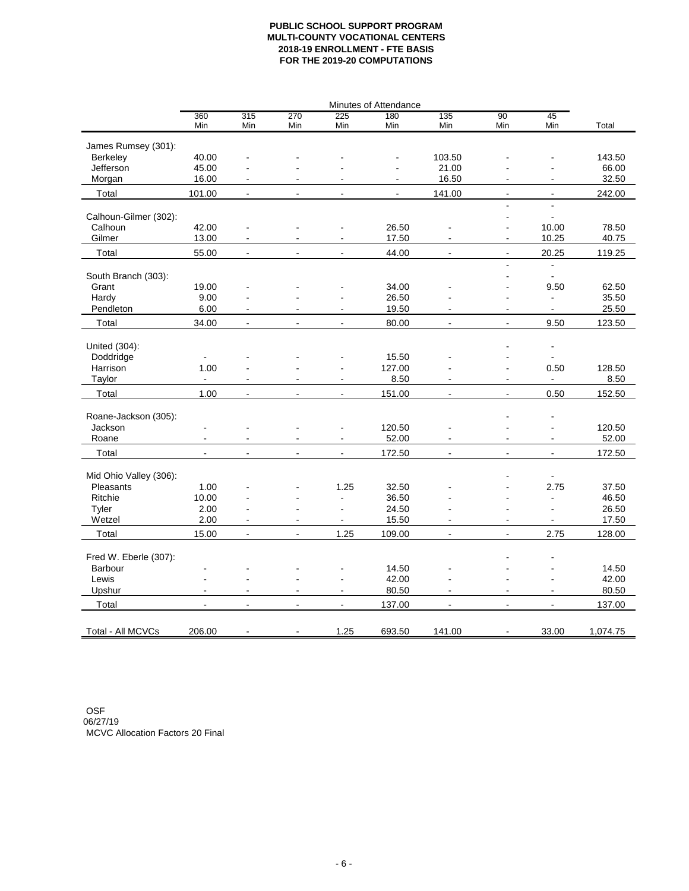# **PUBLIC SCHOOL SUPPORT PROGRAM MULTI-COUNTY VOCATIONAL CENTERS 2018-19 ENROLLMENT - FTE BASIS FOR THE 2019-20 COMPUTATIONS**

|                              |                          |                          |                          |                          | Minutes of Attendance    |                          |                              |                          |                 |
|------------------------------|--------------------------|--------------------------|--------------------------|--------------------------|--------------------------|--------------------------|------------------------------|--------------------------|-----------------|
|                              | 360<br>Min               | 315<br>Min               | 270<br>Min               | 225<br>Min               | 180<br>Min               | 135<br>Min               | 90<br>Min                    | 45<br>Min                | Total           |
|                              |                          |                          |                          |                          |                          |                          |                              |                          |                 |
| James Rumsey (301):          |                          |                          |                          |                          |                          |                          |                              |                          |                 |
| <b>Berkeley</b><br>Jefferson | 40.00<br>45.00           |                          |                          |                          |                          | 103.50<br>21.00          |                              |                          | 143.50<br>66.00 |
| Morgan                       | 16.00                    | $\overline{\phantom{a}}$ |                          |                          |                          | 16.50                    |                              | $\blacksquare$           | 32.50           |
|                              |                          |                          |                          |                          |                          |                          |                              |                          |                 |
| Total                        | 101.00                   | $\overline{\phantom{a}}$ |                          |                          | $\overline{\phantom{a}}$ | 141.00                   | $\overline{\phantom{a}}$     | $\overline{\phantom{a}}$ | 242.00          |
| Calhoun-Gilmer (302):        |                          |                          |                          |                          |                          |                          |                              |                          |                 |
| Calhoun                      | 42.00                    |                          |                          |                          | 26.50                    |                          |                              | 10.00                    | 78.50           |
| Gilmer                       | 13.00                    | $\overline{\phantom{a}}$ |                          |                          | 17.50                    |                          | $\overline{\phantom{a}}$     | 10.25                    | 40.75           |
| Total                        | 55.00                    | $\overline{\phantom{a}}$ |                          |                          | 44.00                    |                          | $\overline{\phantom{a}}$     | 20.25                    | 119.25          |
|                              |                          |                          |                          |                          |                          |                          | $\blacksquare$               |                          |                 |
| South Branch (303):          |                          |                          |                          |                          |                          |                          |                              |                          |                 |
| Grant                        | 19.00                    |                          |                          |                          | 34.00                    |                          |                              | 9.50                     | 62.50           |
| Hardy                        | 9.00                     |                          |                          |                          | 26.50                    |                          |                              |                          | 35.50           |
| Pendleton                    | 6.00                     | $\overline{\phantom{a}}$ |                          |                          | 19.50                    |                          | $\qquad \qquad \blacksquare$ |                          | 25.50           |
| Total                        | 34.00                    | $\overline{\phantom{a}}$ |                          |                          | 80.00                    |                          | $\overline{\phantom{a}}$     | 9.50                     | 123.50          |
|                              |                          |                          |                          |                          |                          |                          |                              |                          |                 |
| United (304):                |                          |                          |                          |                          |                          |                          |                              |                          |                 |
| Doddridge                    |                          |                          |                          |                          | 15.50                    |                          |                              |                          |                 |
| Harrison                     | 1.00                     |                          |                          |                          | 127.00                   |                          | $\overline{\phantom{0}}$     | 0.50                     | 128.50          |
| Taylor                       |                          |                          |                          |                          | 8.50                     |                          | $\overline{\phantom{a}}$     |                          | 8.50            |
| Total                        | 1.00                     | $\overline{\phantom{a}}$ |                          |                          | 151.00                   | $\overline{\phantom{a}}$ | $\overline{\phantom{a}}$     | 0.50                     | 152.50          |
| Roane-Jackson (305):         |                          |                          |                          |                          |                          |                          |                              |                          |                 |
| Jackson                      |                          |                          |                          |                          | 120.50                   |                          |                              | $\overline{\phantom{a}}$ | 120.50          |
| Roane                        |                          |                          |                          |                          | 52.00                    |                          |                              |                          | 52.00           |
| Total                        | $\blacksquare$           | $\blacksquare$           |                          | $\overline{\phantom{a}}$ | 172.50                   | $\blacksquare$           | $\blacksquare$               | $\blacksquare$           | 172.50          |
|                              |                          |                          |                          |                          |                          |                          |                              |                          |                 |
| Mid Ohio Valley (306):       |                          |                          |                          |                          |                          |                          |                              | $\overline{\phantom{a}}$ |                 |
| Pleasants                    | 1.00                     |                          |                          | 1.25                     | 32.50                    |                          |                              | 2.75                     | 37.50           |
| Ritchie                      | 10.00                    |                          |                          |                          | 36.50                    |                          |                              | $\overline{\phantom{a}}$ | 46.50           |
| <b>Tyler</b>                 | 2.00                     |                          |                          |                          | 24.50                    |                          |                              |                          | 26.50           |
| Wetzel                       | 2.00                     |                          |                          |                          | 15.50                    |                          |                              |                          | 17.50           |
| Total                        | 15.00                    | $\overline{\phantom{a}}$ | $\blacksquare$           | 1.25                     | 109.00                   | $\overline{\phantom{a}}$ | $\overline{\phantom{0}}$     | 2.75                     | 128.00          |
|                              |                          |                          |                          |                          |                          |                          |                              |                          |                 |
| Fred W. Eberle (307):        |                          |                          |                          |                          |                          |                          |                              | $\blacksquare$           |                 |
| Barbour                      |                          |                          |                          |                          | 14.50                    |                          |                              |                          | 14.50           |
| Lewis                        |                          |                          |                          |                          | 42.00                    |                          |                              |                          | 42.00           |
| Upshur                       |                          |                          |                          |                          | 80.50                    |                          |                              |                          | 80.50           |
| Total                        | $\overline{\phantom{0}}$ | $\blacksquare$           | $\overline{\phantom{a}}$ |                          | 137.00                   |                          | $\blacksquare$               | $\overline{\phantom{0}}$ | 137.00          |
|                              |                          |                          |                          |                          |                          |                          |                              |                          |                 |
| Total - All MCVCs            | 206.00                   |                          |                          | 1.25                     | 693.50                   | 141.00                   | $\blacksquare$               | 33.00                    | 1,074.75        |

OSF 06/27/19 MCVC Allocation Factors 20 Final